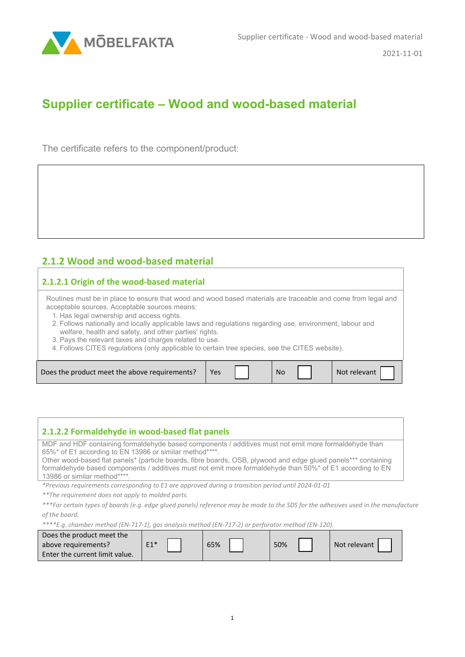

2021-11-01

## **Supplier certificate – Wood and wood-based material**

The certificate refers to the component/product:

## **2.1.2 Wood and wood-based material**

## **2.1.2.1 Origin of the wood-based material**

Routines must be in place to ensure that wood and wood based materials are traceable and come from legal and acceptable sources. Acceptable sources means:

- 1. Has legal ownership and access rights.
- 2. Follows nationally and locally applicable laws and regulations regarding use, environment, labour and welfare, health and safety, and other parties' rights.
- 3. Pays the relevant taxes and charges related to use.
- 4. Follows CITES regulations (only applicable to certain tree species, see the CITES website).

| 2.1.2.2 Formaldehyde in wood-based flat panels                                                                                                                                                                                                                                                                                                                                                                                  |
|---------------------------------------------------------------------------------------------------------------------------------------------------------------------------------------------------------------------------------------------------------------------------------------------------------------------------------------------------------------------------------------------------------------------------------|
| MDF and HDF containing formaldehyde based components / additives must not emit more formaldehyde than<br>65%* of E1 according to EN 13986 or similar method****.<br>Other wood-based flat panels* (particle boards, fibre boards, OSB, plywood and edge glued panels*** containing<br>formaldehyde based components / additives must not emit more formaldehyde than 50%* of E1 according to EN<br>13986 or similar method****. |
| <i>*Previous requirements corresponding to E1 are approved during a transition period until 2024-01-01</i>                                                                                                                                                                                                                                                                                                                      |

*\*\*The requirement does not apply to molded parts.*

*\*\*\*For certain types of boards (e.g. edge glued panels) reference may be made to the SDS for the adhesives used in the manufacture of the board.*

*\*\*\*\*E.g. chamber method (EN-717-1), gas analysis method (EN-717-2) or perforator method (EN-120).*

| Does the product meet the      |       |     |     |              |  |
|--------------------------------|-------|-----|-----|--------------|--|
| above requirements?            | $E1*$ | 65% | 50% | Not relevant |  |
| Enter the current limit value. |       |     |     |              |  |